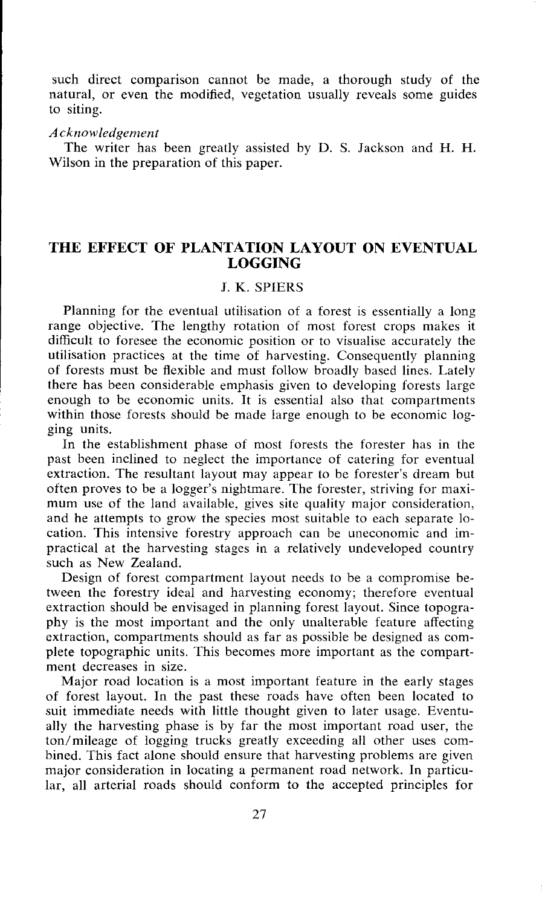such direct comparison cannot be made, a thorough study of the natural, or even the modified, vegetation usually reveals some guides to siting.

#### *Acknowledgement*

The writer has been greatly assisted by D. S. Jackson and H. H. Wilson in the preparation of this paper.

# **THE EFFECT OF PLANTATION LAYOUT ON EVENTUAL LOGGING**

# J. K. SPIERS

Planning for the eventual utilisation of a forest is essentially a long range objective. The lengthy rotation of most forest crops makes it difficult to foresee the economic position or to visualise accurately the utilisation practices at the time of harvesting. Consequently planning of forests must be flexible and must follow broadly based lines. Lately there has been considerable emphasis given to developing forests large enough to be economic units. It is essential also that compartments within those forests should be made large enough to be economic logging units.

In the establishment phase of most forests the forester has in the past been inclined to neglect the importance of catering for eventual extraction. The resultant layout may appear to be forester's dream but often proves to be a logger's nightmare. The forester, striving for maximum use of the land available, gives site quality major consideration, and he attempts to grow the species most suitable to each separate location. This intensive forestry approach can be uneconomic and impractical at the harvesting stages in a relatively undeveloped country such as New Zealand.

Design of forest compartment layout needs to be a compromise between the forestry ideal and harvesting economy; therefore eventual extraction should be envisaged in planning forest layout. Since topography is the most important and the only unalterable feature affecting extraction, compartments should as far as possible be designed as complete topographic units. This becomes more important as the compartment decreases in size.

Major road location is a most important feature in the early stages of forest layout. In the past these roads have often been located to suit immediate needs with little thought given to later usage. Eventually the harvesting phase is by far the most important road user, the ton/mileage of logging trucks greatly exceeding all other uses combined. This fact alone should ensure that harvesting problems are given major consideration in locating a permanent road network. In particular, all arterial roads should conform to the accepted principles for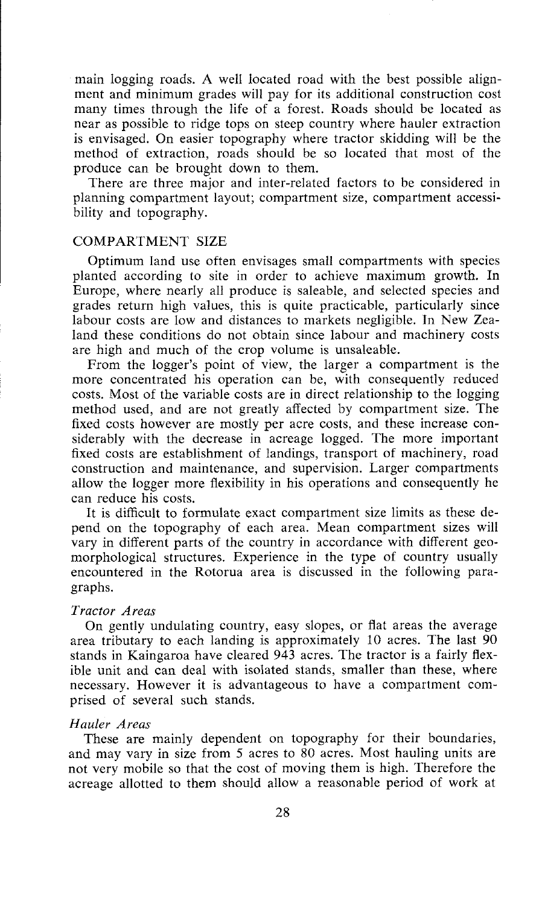main iogging roads. A well located road with the best possible alignment and minimum grades will pay for its additional construction cost many times through the life of a forest. Roads should be located as near as possible to ridge tops on steep country where hauler extraction is envisaged. On easier topography where tractor skidding will be the method of extraction, roads should be so located that most of the produce can be brought down to them.

There are three major and inter-related factors to be considered in planning compartment layout; compartment size, compartment accessibility and topography.

## COMPARTMENT SIZE

Optimum land use often envisages small compartments with species planted according to site in order to achieve maximum growth. In Europe, where nearly all produce is saleable, and selected species and grades return high values, this is quite practicable, particularly since labour costs are low and distances to markets negligible. In New Zealand these conditions do not obtain since labour and machinery costs are high and much of the crop volume is unsaleable.

From the logger's point of view, the larger a compartment is the more concentrated his operation can be, with consequently reduced costs. Most of the variable costs are in direct relationship to the logging method used, and are not greatly affected by compartment size. The fixed costs however are mostly per acre costs, and these increase considerably with the decrease in acreage logged. The more important fixed costs are establishment of landings, transport of machinery, road construction and maintenance, and supervision. Larger compartments allow the logger more flexibility in his operations and consequently he can reduce his costs.

It is difficult to formulate exact compartment size limits as these depend on the topography of each area. Mean compartment sizes will vary in different parts of the country in accordance with different geomorphological structures. Experience in the type of country usually encountered in the Rotorua area is discussed in the following paragraphs.

## *Tractor Areas*

On gently undulating country, easy slopes, or flat areas the average area tributary to each landing is approximately 10 acres. The last 90 stands in Kaingaroa have cleared 943 acres. The tractor is a fairly flexible unit and can deal with isolated stands, smaller than these, where necessary. However it is advantageous to have a compartment comprised of several such stands.

#### *Hauler Areas*

These are mainly dependent on topography for their boundaries, and may vary in size from *5* acres to 80 acres. Most hauling units are not very mobile so that the cost of moving them is high. Therefore the acreage allotted to them should allow a reasonable period of work at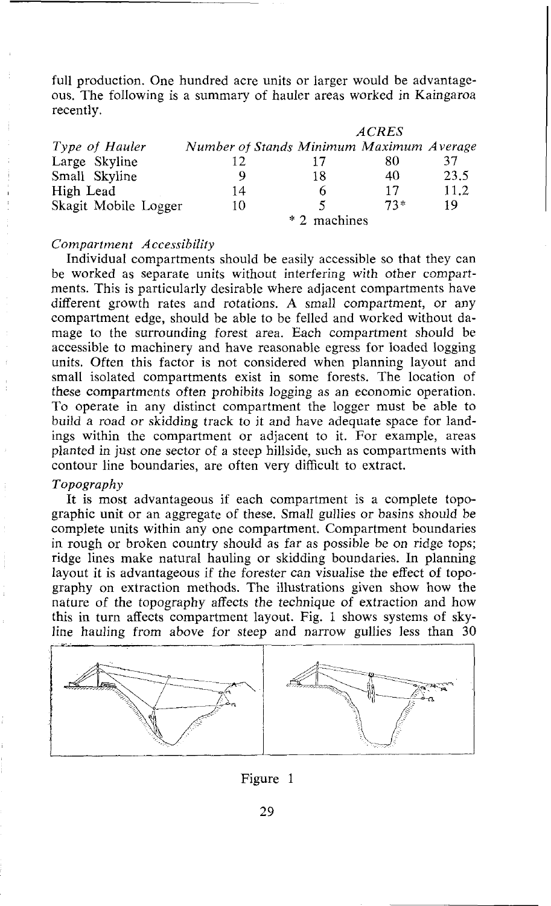full production. One hundred acre units or larger would be advantageous. The following is a summary of hauler areas worked in Kaingaroa recently.

|                      | <b>ACRES</b>                             |    |       |      |
|----------------------|------------------------------------------|----|-------|------|
| Type of Hauler       | Number of Stands Minimum Maximum Average |    |       |      |
| Large Skyline        | 12                                       | 17 | 80    | 37   |
| Small Skyline        | Q                                        | 18 | 40    | 23.5 |
| High Lead            | 14                                       | 6  | 17    | 11.2 |
| Skagit Mobile Logger | 10                                       | ≂  | $73*$ | 19   |
|                      | * 2 machines                             |    |       |      |

## *Comparfrnent Accessibility*

Individual compartments should be easily accessible so that they can be worked as separate units without interfering with other compartments. This is particularly desirable where adjacent compartments have different growth rates and rotations. A small compartment, or any compartment edge, should be able to be felled and worked without damage to the surrounding forest area. Each compartment should be accessible to machinery and have reasonable egress for loaded logging units. Often this factor is not considered when planning layout and small isolated compartments exist in some forests. The location of these compartments often prohibits logging as an economic operation. To operate in any distinct compartment the logger must be able to build a road or skidding track to it and have adequate space for landings within the compartment or adjacent to it. For example, areas planted in just one sector of a steep hillside, such as compartments with contour line boundaries, are often very difficult to extract.

#### *Topography*

It is most advantageous if each compartment is a complete topographic unit or an aggregate of these. Small gullies or basins should be complete units within any one compartment. Compartment boundaries in rough or broken country should as far as possible be on ridge tops; ridge lines make natural hauling or skidding boundaries. In planning layout it is advantageous if the forester can visualise the effect of topography on extraction methods. The illustrations given show how the nature of the topography affects the technique of extraction and how this in turn affects compartment layout. Fig. 1 shows systems of skyline hauling from above for steep and narrow gullies less than 30



### Figure 1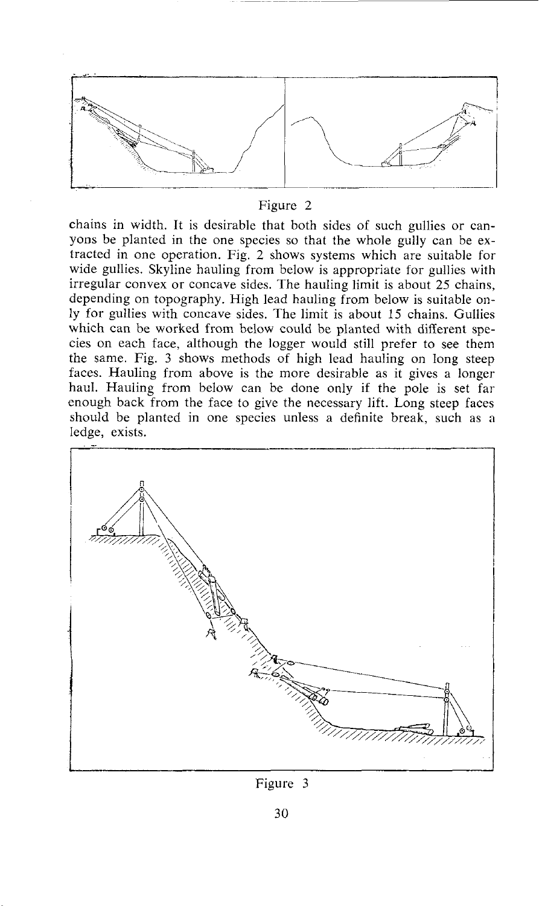

#### Figure 2

chains in width. It is desirable that both sides of such gullies or canyons be planted in the one species so that the whole gully can be extracted in one operation. Fig. 2 shows systems which are suitable for wide gullies. Skyline hauling from below is appropriate for gullies with irregular convex or concave sides. The hauling limit is about 25 chains, depending on topography. High lead hauling from below is suitable only for gullies with concave sides. The limit is about 15 chains. Gullies which can be worked from below could be planted with different species on each face, although the logger would still prefer to see them the same. Fig. 3 shows methods of high lead hauling on long steep faces. Hauling from above is the more desirable as it gives a longer haul. Hauling from below can be done only if the pole is set far enough back from the face to give the necessary lift. Long steep faces should be planted in one species unless a definite break. such as a ledge, exists.



Figure 3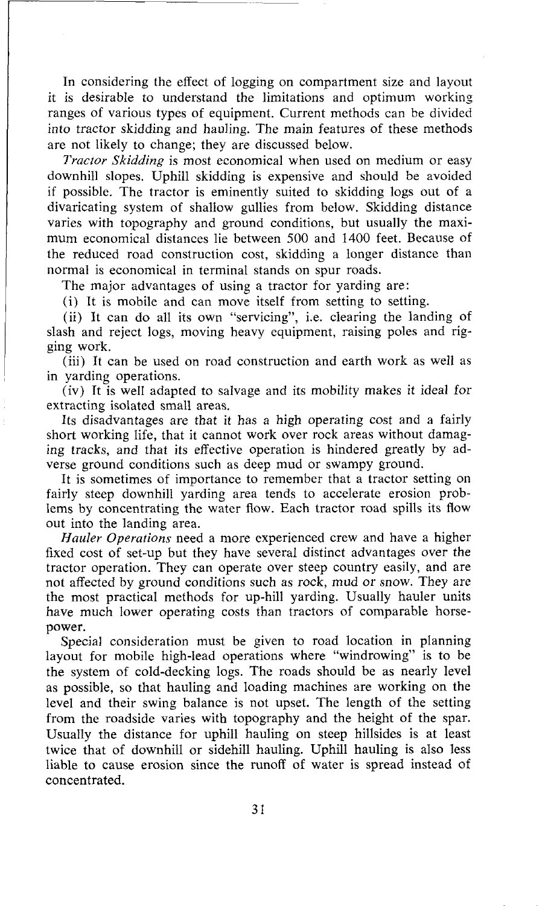In considering the effect of logging on compartment size and layout it is desirable to understand the limitations and optimum working ranges of various types of equipment. Current methods can be divided into tractor skidding and hauling. The main features of these methods are not likely to change; they are discussed below.

*Tractor* **Skidding** is most economical when used on medium or easy downhill slopes. Uphill skidding is expensive and should be avoided if possible. The tractor is eminently suited to skidding logs out of a divaricating system of shallow gullies from below. Skidding distance varies with topography and ground conditions, but usually the maximum economical distances lie between 500 and 1400 feet. Because of the reduced road construction cost, skidding a longer distance than normal is economical in terminal stands on spur roads.

The major advantages of using a tractor for yarding are:

(i) It is mobile and can move itself from setting to setting.

(ii) It can do all its own "servicing", i.e. clearing the landing of slash and reject logs, moving heavy equipment, raising poles and rigging work.

(iii) It can be used on road construction and earth work as well as in yarding operations.

(iv) Tt is well adapted to salvage and its mobility makes it ideal for extracting isolated small areas.

Its disadvantages are that it has a high operating cost and a fairly short working life, that it cannot work over rock areas without damaging tracks, and that its effective operation is hindered greatly by adverse ground conditions such as deep mud or swampy ground.

It is sometimes of importance to remember that a tractor setting on fairly steep downhill yarding area tends to accelerate erosion problems by concentrating the water flow. Each tractor road spills its flow out into the landing area.

*Hauler Operations* need a more experienced crew and have a higher fixed cost of set-up but they have several distinct advantages over the tractor operation. They can operate over steep country easily, and are not affected by ground conditions such as rock, mud or snow. They are the most practical methods for up-hill yarding. Usually hauler units have much lower operating costs than tractors of comparable horsepower.

Special consideration must be given to road location in planning layout for mobile high-lead operations where "windrowing" is to be the system of cold-decking logs. The roads should be as nearly level as possible, so that hauling and loading machines are working on the level and their swing balance is not upset. The length of the setting from the roadside varies with topography and the height of the spar. Usually the distance for uphill hauling on steep hillsides is at least twice that of downhill or sidehill hauling. Uphill hauling is also less liable to cause erosion since the runoff of water is spread instead of concentrated.